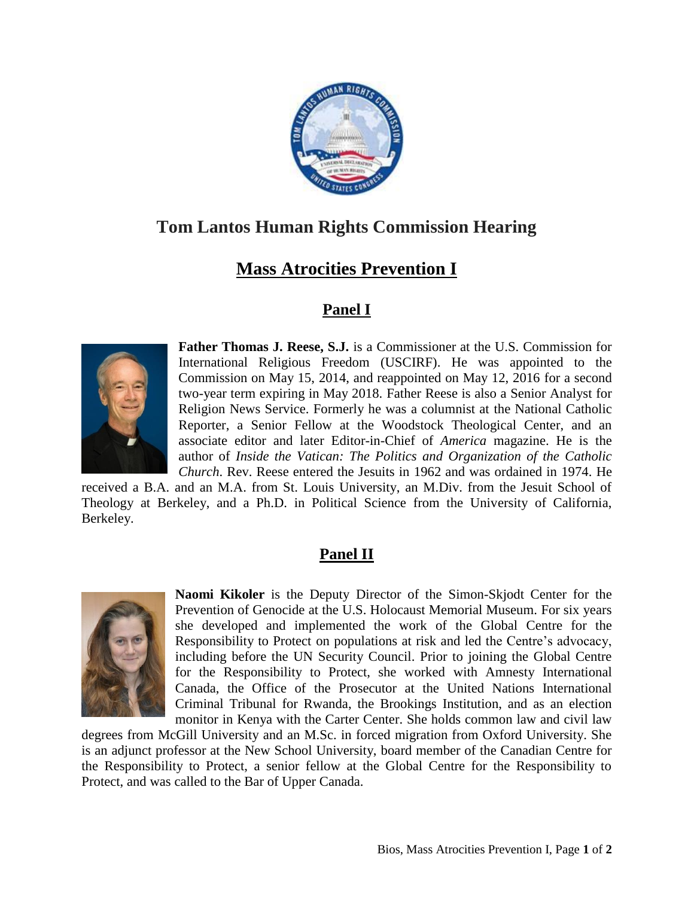

## **Tom Lantos Human Rights Commission Hearing**

## **Mass Atrocities Prevention I**

## **Panel I**



**Father Thomas J. Reese, S.J.** is a Commissioner at the U.S. Commission for International Religious Freedom (USCIRF). He was appointed to the Commission on May 15, 2014, and reappointed on May 12, 2016 for a second two-year term expiring in May 2018. Father Reese is also a Senior Analyst for Religion News Service. Formerly he was a columnist at the National Catholic Reporter, a Senior Fellow at the Woodstock Theological Center, and an associate editor and later Editor-in-Chief of *America* magazine. He is the author of *Inside the Vatican: The Politics and Organization of the Catholic Church*. Rev. Reese entered the Jesuits in 1962 and was ordained in 1974. He

received a B.A. and an M.A. from St. Louis University, an M.Div. from the Jesuit School of Theology at Berkeley, and a Ph.D. in Political Science from the University of California, Berkeley.

## **Panel II**



**Naomi Kikoler** is the Deputy Director of the Simon-Skjodt Center for the Prevention of Genocide at the U.S. Holocaust Memorial Museum. For six years she developed and implemented the work of the Global Centre for the Responsibility to Protect on populations at risk and led the Centre's advocacy, including before the UN Security Council. Prior to joining the Global Centre for the Responsibility to Protect, she worked with Amnesty International Canada, the Office of the Prosecutor at the United Nations International Criminal Tribunal for Rwanda, the Brookings Institution, and as an election monitor in Kenya with the Carter Center. She holds common law and civil law

degrees from McGill University and an M.Sc. in forced migration from Oxford University. She is an adjunct professor at the New School University, board member of the Canadian Centre for the Responsibility to Protect, a senior fellow at the Global Centre for the Responsibility to Protect, and was called to the Bar of Upper Canada.